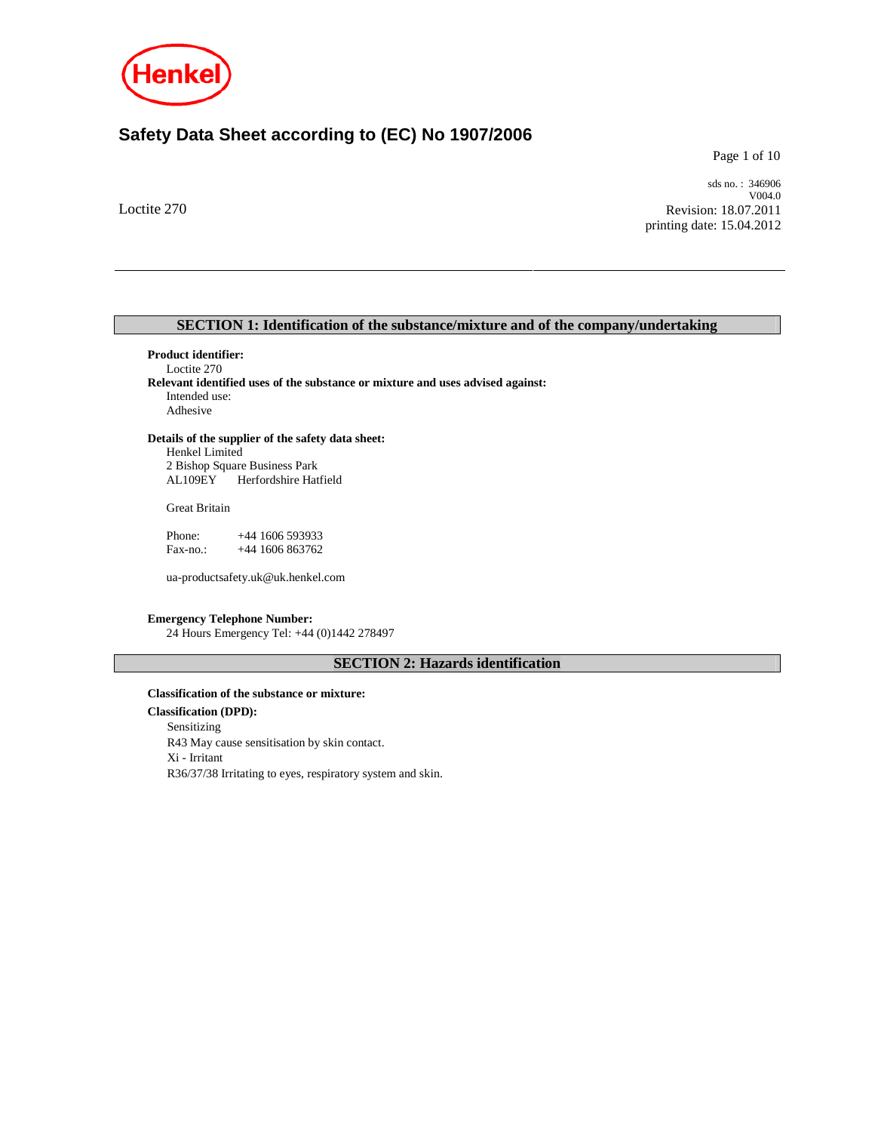

# **Safety Data Sheet according to (EC) No 1907/2006**

Page 1 of 10

Loctite 270

sds no. : 346906 V004.0 Revision: 18.07.2011 printing date: 15.04.2012

# **SECTION 1: Identification of the substance/mixture and of the company/undertaking**

**Product identifier:**  Loctite 270 **Relevant identified uses of the substance or mixture and uses advised against:**  Intended use: Adhesive

# **Details of the supplier of the safety data sheet:**

Henkel Limited 2 Bishop Square Business Park Herfordshire Hatfield

Great Britain

Phone: +44 1606 593933 Fax-no.: +44 1606 863762

ua-productsafety.uk@uk.henkel.com

## **Emergency Telephone Number:**

24 Hours Emergency Tel: +44 (0)1442 278497

# **SECTION 2: Hazards identification**

### **Classification of the substance or mixture:**

**Classification (DPD):** Sensitizing R43 May cause sensitisation by skin contact. Xi - Irritant R36/37/38 Irritating to eyes, respiratory system and skin.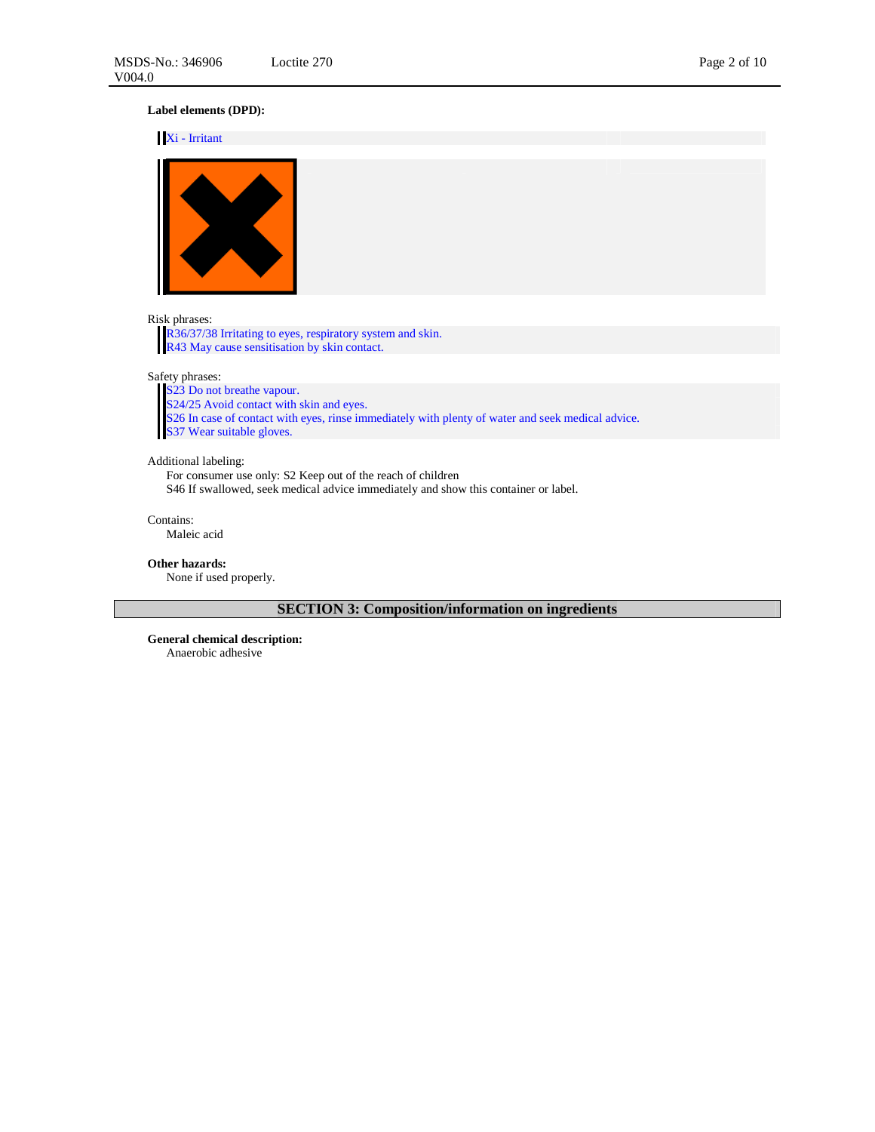# **Label elements (DPD):**

### Xi - Irritant



## Risk phrases:

R36/37/38 Irritating to eyes, respiratory system and skin. R43 May cause sensitisation by skin contact.

Safety phrases:

S23 Do not breathe vapour. S24/25 Avoid contact with skin and eyes. S26 In case of contact with eyes, rinse immediately with plenty of water and seek medical advice. S26 In case of contact with<br>S37 Wear suitable gloves.

## Additional labeling:

For consumer use only: S2 Keep out of the reach of children S46 If swallowed, seek medical advice immediately and show this container or label.

Contains: Maleic acid

# **Other hazards:**

None if used properly.

**SECTION 3: Composition/information on ingredients** 

**General chemical description:** 

Anaerobic adhesive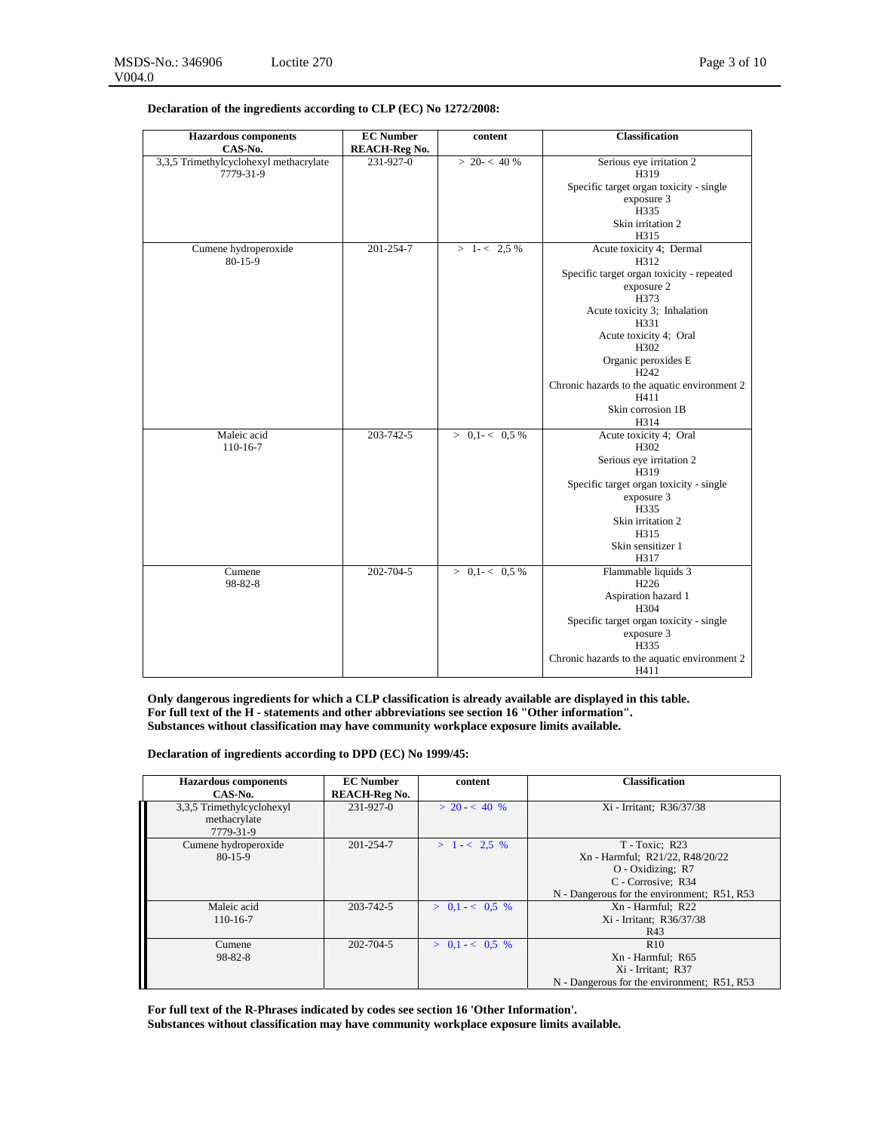| <b>Hazardous</b> components                         | <b>EC</b> Number     | content             | <b>Classification</b>                        |
|-----------------------------------------------------|----------------------|---------------------|----------------------------------------------|
| CAS-No.                                             | <b>REACH-Reg No.</b> |                     |                                              |
| 3,3,5 Trimethylcyclohexyl methacrylate<br>7779-31-9 | 231-927-0            | $> 20 - < 40 %$     | Serious eye irritation 2<br>H319             |
|                                                     |                      |                     | Specific target organ toxicity - single      |
|                                                     |                      |                     | exposure 3                                   |
|                                                     |                      |                     | H335                                         |
|                                                     |                      |                     | Skin irritation 2                            |
|                                                     |                      |                     | H315                                         |
| Cumene hydroperoxide<br>$80-15-9$                   | 201-254-7            | $> 1 - < 2.5\%$     | Acute toxicity 4; Dermal<br>H312             |
|                                                     |                      |                     | Specific target organ toxicity - repeated    |
|                                                     |                      |                     | exposure 2                                   |
|                                                     |                      |                     | H373                                         |
|                                                     |                      |                     | Acute toxicity 3; Inhalation<br>H331         |
|                                                     |                      |                     | Acute toxicity 4; Oral                       |
|                                                     |                      |                     | H302                                         |
|                                                     |                      |                     | Organic peroxides E                          |
|                                                     |                      |                     | H <sub>242</sub>                             |
|                                                     |                      |                     | Chronic hazards to the aquatic environment 2 |
|                                                     |                      |                     | H411                                         |
|                                                     |                      |                     | Skin corrosion 1B                            |
|                                                     |                      |                     | H314                                         |
| Maleic acid                                         | 203-742-5            | $> 0, 1 - < 0.5 \%$ | Acute toxicity 4; Oral                       |
| 110-16-7                                            |                      |                     | H302                                         |
|                                                     |                      |                     | Serious eye irritation 2                     |
|                                                     |                      |                     | H319                                         |
|                                                     |                      |                     | Specific target organ toxicity - single      |
|                                                     |                      |                     | exposure 3                                   |
|                                                     |                      |                     | H335                                         |
|                                                     |                      |                     | Skin irritation 2                            |
|                                                     |                      |                     | H315                                         |
|                                                     |                      |                     | Skin sensitizer 1                            |
|                                                     |                      |                     | H317                                         |
| Cumene                                              | 202-704-5            | $> 0.1 - < 0.5 \%$  | Flammable liquids 3                          |
| 98-82-8                                             |                      |                     | H <sub>226</sub>                             |
|                                                     |                      |                     | Aspiration hazard 1                          |
|                                                     |                      |                     | H304                                         |
|                                                     |                      |                     | Specific target organ toxicity - single      |
|                                                     |                      |                     | exposure 3                                   |
|                                                     |                      |                     | H335                                         |
|                                                     |                      |                     | Chronic hazards to the aquatic environment 2 |
|                                                     |                      |                     | H411                                         |

# **Declaration of the ingredients according to CLP (EC) No 1272/2008:**

**Only dangerous ingredients for which a CLP classification is already available are displayed in this table. For full text of the H - statements and other abbreviations see section 16 "Other information". Substances without classification may have community workplace exposure limits available.**

**Declaration of ingredients according to DPD (EC) No 1999/45:** 

| <b>Hazardous</b> components                            | <b>EC</b> Number     | content           | <b>Classification</b>                                                                                                                         |
|--------------------------------------------------------|----------------------|-------------------|-----------------------------------------------------------------------------------------------------------------------------------------------|
| CAS-No.                                                | <b>REACH-Reg No.</b> |                   |                                                                                                                                               |
| 3,3,5 Trimethylcyclohexyl<br>methacrylate<br>7779-31-9 | 231-927-0            | $> 20 \lt 40 \%$  | Xi - Irritant; R36/37/38                                                                                                                      |
| Cumene hydroperoxide<br>$80-15-9$                      | 201-254-7            | $> 1 - < 2.5$ %   | T - Toxic; R23<br>Xn - Harmful; R21/22, R48/20/22<br>$O$ - Oxidizing; R7<br>C - Corrosive; R34<br>N - Dangerous for the environment; R51, R53 |
| Maleic acid<br>110-16-7                                | 203-742-5            | $> 0.1 - < 0.5$ % | Xn - Harmful; R22<br>Xi - Irritant; R36/37/38<br>R43                                                                                          |
| Cumene<br>$98 - 82 - 8$                                | 202-704-5            | $> 0.1 - < 0.5$ % | R10<br>Xn - Harmful; R65<br>Xi - Irritant; R37<br>N - Dangerous for the environment; R51, R53                                                 |

**For full text of the R-Phrases indicated by codes see section 16 'Other Information'. Substances without classification may have community workplace exposure limits available.**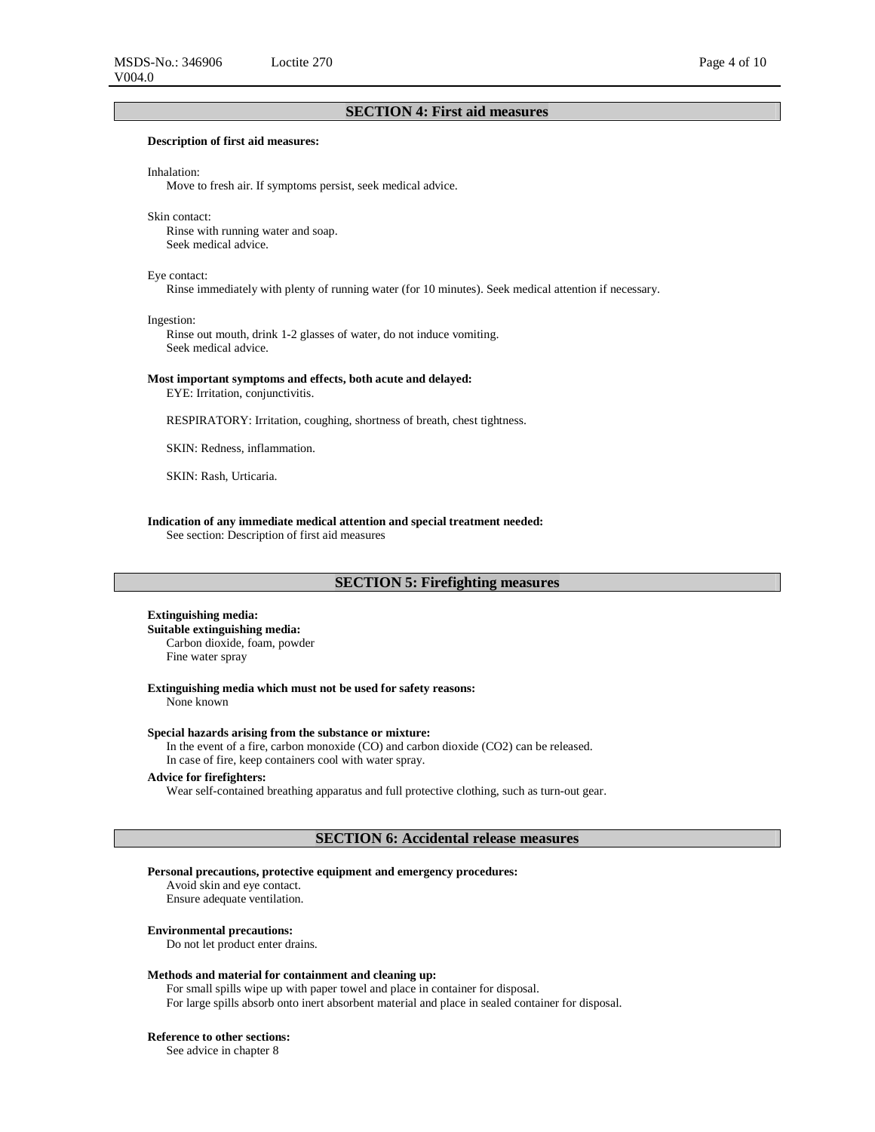# **SECTION 4: First aid measures**

### **Description of first aid measures:**

### Inhalation:

Move to fresh air. If symptoms persist, seek medical advice.

### Skin contact:

Rinse with running water and soap. Seek medical advice.

### Eye contact:

Rinse immediately with plenty of running water (for 10 minutes). Seek medical attention if necessary.

Ingestion:

Rinse out mouth, drink 1-2 glasses of water, do not induce vomiting. Seek medical advice.

### **Most important symptoms and effects, both acute and delayed:**

EYE: Irritation, conjunctivitis.

RESPIRATORY: Irritation, coughing, shortness of breath, chest tightness.

SKIN: Redness, inflammation.

SKIN: Rash, Urticaria.

**Indication of any immediate medical attention and special treatment needed:**  See section: Description of first aid measures

# **SECTION 5: Firefighting measures**

### **Extinguishing media:**

**Suitable extinguishing media:**  Carbon dioxide, foam, powder Fine water spray

**Extinguishing media which must not be used for safety reasons:**  None known

**Special hazards arising from the substance or mixture:** 

In the event of a fire, carbon monoxide (CO) and carbon dioxide (CO2) can be released.

In case of fire, keep containers cool with water spray.

# **Advice for firefighters:**

Wear self-contained breathing apparatus and full protective clothing, such as turn-out gear.

# **SECTION 6: Accidental release measures**

### **Personal precautions, protective equipment and emergency procedures:**

Avoid skin and eye contact.

Ensure adequate ventilation.

### **Environmental precautions:**

Do not let product enter drains.

## **Methods and material for containment and cleaning up:**

For small spills wipe up with paper towel and place in container for disposal. For large spills absorb onto inert absorbent material and place in sealed container for disposal.

### **Reference to other sections:**

See advice in chapter 8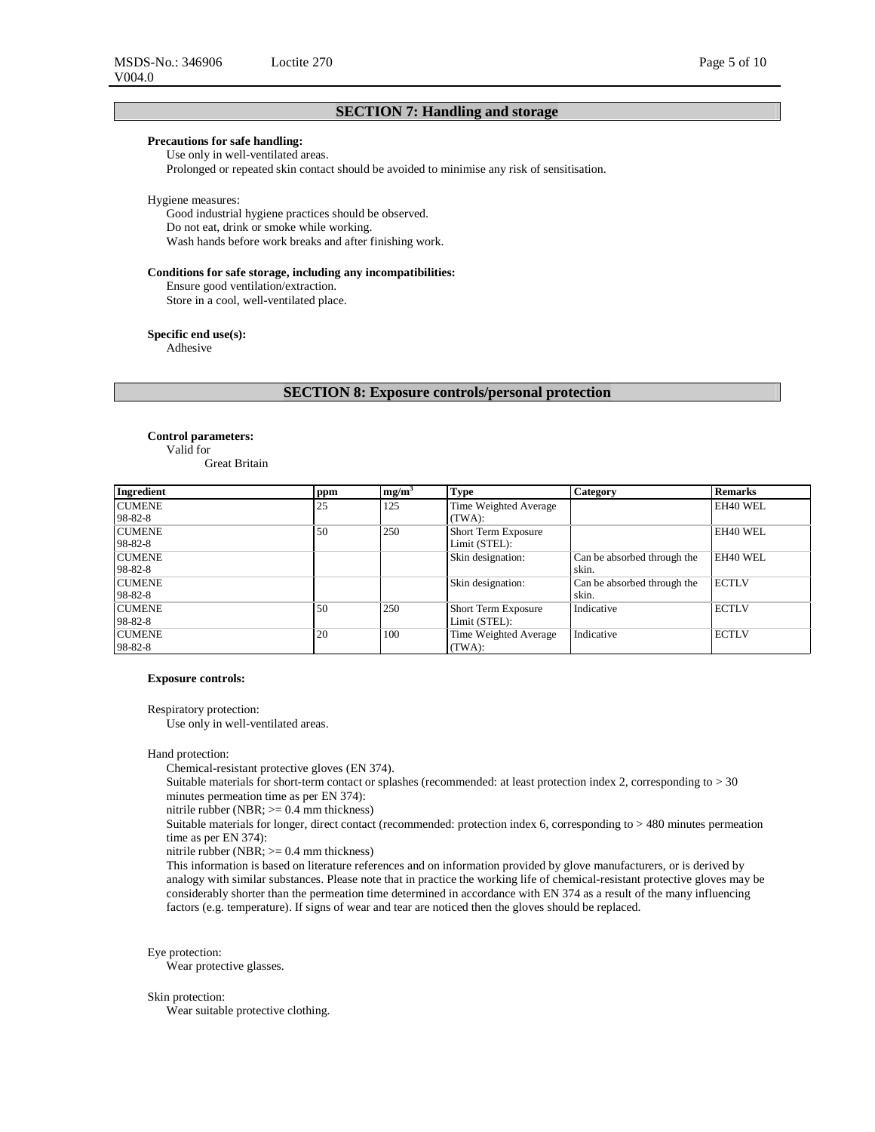# **Precautions for safe handling:**

Use only in well-ventilated areas.

Prolonged or repeated skin contact should be avoided to minimise any risk of sensitisation.

### Hygiene measures:

Good industrial hygiene practices should be observed. Do not eat, drink or smoke while working. Wash hands before work breaks and after finishing work.

### **Conditions for safe storage, including any incompatibilities:**

Ensure good ventilation/extraction. Store in a cool, well-ventilated place.

### **Specific end use(s):**

Adhesive

**SECTION 8: Exposure controls/personal protection** 

### **Control parameters:**  Valid for

Great Britain

| Ingredient    | ppm | mg/m <sup>3</sup> | <b>Type</b>                | <b>Category</b>             | <b>Remarks</b> |
|---------------|-----|-------------------|----------------------------|-----------------------------|----------------|
| <b>CUMENE</b> | 25  | 125               | Time Weighted Average      |                             | EH40 WEL       |
| 98-82-8       |     |                   | (TWA):                     |                             |                |
| <b>CUMENE</b> | 50  | 250               | <b>Short Term Exposure</b> |                             | EH40 WEL       |
| 98-82-8       |     |                   | Limit (STEL):              |                             |                |
| <b>CUMENE</b> |     |                   | Skin designation:          | Can be absorbed through the | EH40 WEL       |
| 98-82-8       |     |                   |                            | skin.                       |                |
| <b>CUMENE</b> |     |                   | Skin designation:          | Can be absorbed through the | <b>ECTLV</b>   |
| 98-82-8       |     |                   |                            | skin.                       |                |
| <b>CUMENE</b> | 50  | 250               | <b>Short Term Exposure</b> | Indicative                  | <b>ECTLV</b>   |
| 98-82-8       |     |                   | Limit (STEL):              |                             |                |
| <b>CUMENE</b> | 20  | 100               | Time Weighted Average      | Indicative                  | <b>ECTLV</b>   |
| 98-82-8       |     |                   | (TWA):                     |                             |                |

#### **Exposure controls:**

Respiratory protection:

Use only in well-ventilated areas.

### Hand protection:

Chemical-resistant protective gloves (EN 374).

Suitable materials for short-term contact or splashes (recommended: at least protection index 2, corresponding to > 30 minutes permeation time as per EN 374):

nitrile rubber (NBR; >= 0.4 mm thickness)

Suitable materials for longer, direct contact (recommended: protection index 6, corresponding to > 480 minutes permeation time as per EN 374):

nitrile rubber (NBR; >= 0.4 mm thickness)

This information is based on literature references and on information provided by glove manufacturers, or is derived by analogy with similar substances. Please note that in practice the working life of chemical-resistant protective gloves may be considerably shorter than the permeation time determined in accordance with EN 374 as a result of the many influencing factors (e.g. temperature). If signs of wear and tear are noticed then the gloves should be replaced.

# Eye protection:

Wear protective glasses.

## Skin protection:

Wear suitable protective clothing.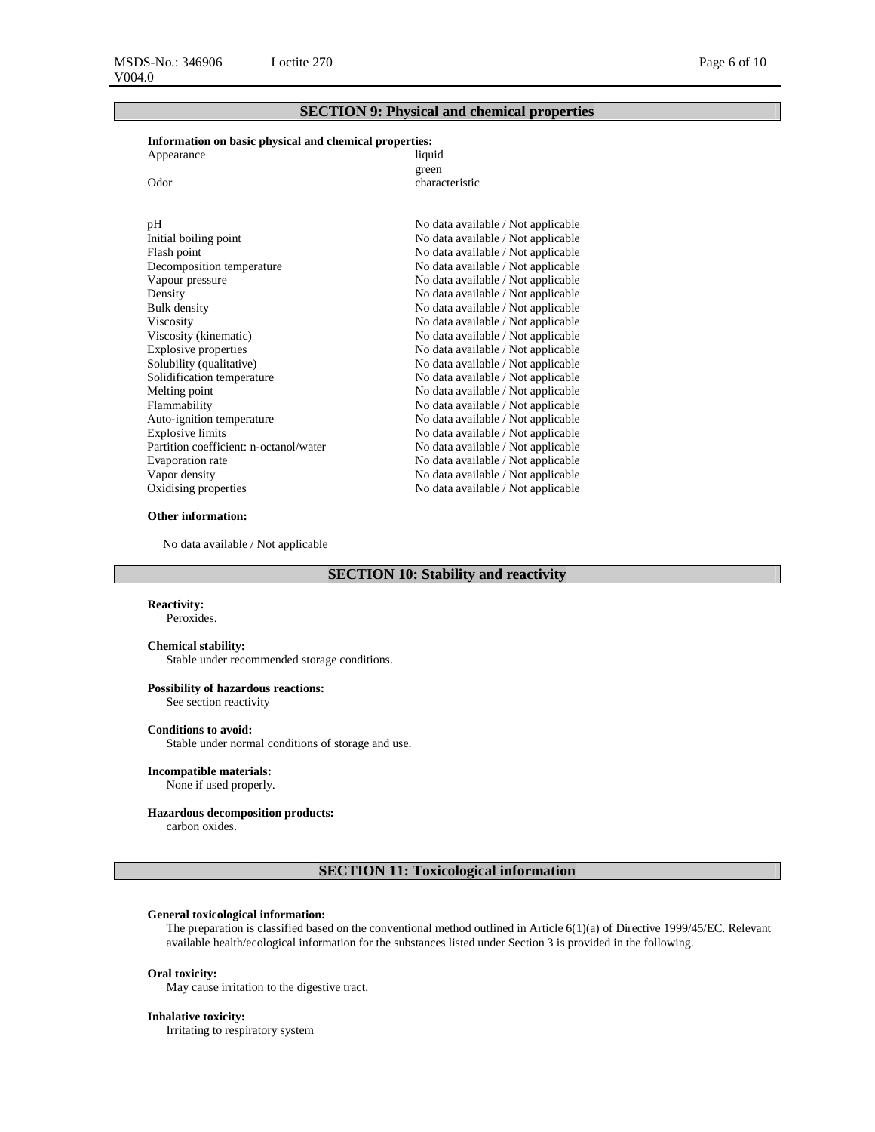# **SECTION 9: Physical and chemical properties**

# **Information on basic physical and chemical properties:**

| ниогнаатон он вазге риузкаг ана сисписат ргорегиез. |                                    |
|-----------------------------------------------------|------------------------------------|
| Appearance                                          | liquid                             |
|                                                     | green                              |
| Odor                                                | characteristic                     |
|                                                     |                                    |
|                                                     |                                    |
| pН                                                  | No data available / Not applicable |
| Initial boiling point                               | No data available / Not applicable |
| Flash point                                         | No data available / Not applicable |
| Decomposition temperature                           | No data available / Not applicable |
| Vapour pressure                                     | No data available / Not applicable |
| Density                                             | No data available / Not applicable |
| <b>Bulk</b> density                                 | No data available / Not applicable |
| Viscosity                                           | No data available / Not applicable |
| Viscosity (kinematic)                               | No data available / Not applicable |
| <b>Explosive properties</b>                         | No data available / Not applicable |
| Solubility (qualitative)                            | No data available / Not applicable |
| Solidification temperature                          | No data available / Not applicable |
| Melting point                                       | No data available / Not applicable |
| Flammability                                        | No data available / Not applicable |
| Auto-ignition temperature                           | No data available / Not applicable |
| <b>Explosive limits</b>                             | No data available / Not applicable |
| Partition coefficient: n-octanol/water              | No data available / Not applicable |
| Evaporation rate                                    | No data available / Not applicable |
| Vapor density                                       | No data available / Not applicable |
| Oxidising properties                                | No data available / Not applicable |
|                                                     |                                    |

## **Other information:**

No data available / Not applicable

# **SECTION 10: Stability and reactivity**

## **Reactivity:**

Peroxides.

### **Chemical stability:**

Stable under recommended storage conditions.

### **Possibility of hazardous reactions:**

See section reactivity

## **Conditions to avoid:**

Stable under normal conditions of storage and use.

# **Incompatible materials:**

None if used properly.

### **Hazardous decomposition products:**

carbon oxides.

# **SECTION 11: Toxicological information**

### **General toxicological information:**

The preparation is classified based on the conventional method outlined in Article 6(1)(a) of Directive 1999/45/EC. Relevant available health/ecological information for the substances listed under Section 3 is provided in the following.

## **Oral toxicity:**

May cause irritation to the digestive tract.

### **Inhalative toxicity:**

Irritating to respiratory system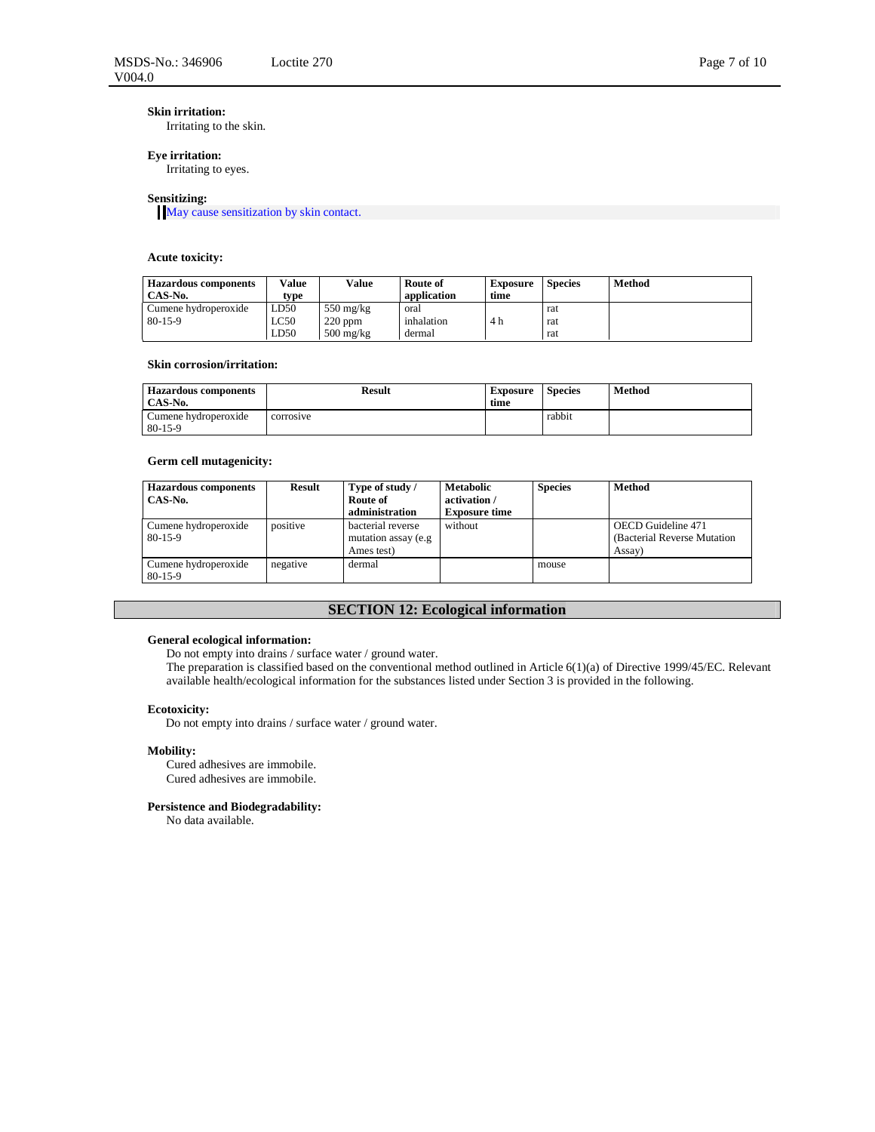# **Skin irritation:**

Irritating to the skin.

# **Eye irritation:**

Irritating to eyes.

## **Sensitizing:**

May cause sensitization by skin contact.

# **Acute toxicity:**

| <b>Hazardous components</b><br>CAS-No. | Value<br>type | Value               | Route of<br>application | Exposure<br>time | <b>Species</b> | <b>Method</b> |
|----------------------------------------|---------------|---------------------|-------------------------|------------------|----------------|---------------|
| Cumene hydroperoxide                   | LD50          | $550 \text{ mg/kg}$ | oral                    |                  | rat            |               |
| $80-15-9$                              | LC50          | $220$ ppm           | inhalation              | 4 h              | rat            |               |
|                                        | LD50          | $500 \text{ mg/kg}$ | dermal                  |                  | rat            |               |

### **Skin corrosion/irritation:**

| <b>Hazardous components</b><br>CAS-No. | <b>Result</b> | <b>Exposure</b><br>time | <b>Species</b> | Method |
|----------------------------------------|---------------|-------------------------|----------------|--------|
| Cumene hydroperoxide                   | corrosive     |                         | rabbit         |        |
| $80-15-9$                              |               |                         |                |        |

# **Germ cell mutagenicity:**

| <b>Hazardous</b> components<br>CAS-No. | Result   | Type of study /<br>Route of<br>administration           | <b>Metabolic</b><br>activation /<br><b>Exposure time</b> | <b>Species</b> | Method                                                       |
|----------------------------------------|----------|---------------------------------------------------------|----------------------------------------------------------|----------------|--------------------------------------------------------------|
| Cumene hydroperoxide<br>$80-15-9$      | positive | bacterial reverse<br>mutation assay (e.g.<br>Ames test) | without                                                  |                | OECD Guideline 471<br>(Bacterial Reverse Mutation)<br>Assay) |
| Cumene hydroperoxide<br>$80-15-9$      | negative | dermal                                                  |                                                          | mouse          |                                                              |

# **SECTION 12: Ecological information**

### **General ecological information:**

Do not empty into drains / surface water / ground water.

The preparation is classified based on the conventional method outlined in Article 6(1)(a) of Directive 1999/45/EC. Relevant available health/ecological information for the substances listed under Section 3 is provided in the following.

### **Ecotoxicity:**

Do not empty into drains / surface water / ground water.

#### **Mobility:**

Cured adhesives are immobile. Cured adhesives are immobile.

### **Persistence and Biodegradability:**

No data available.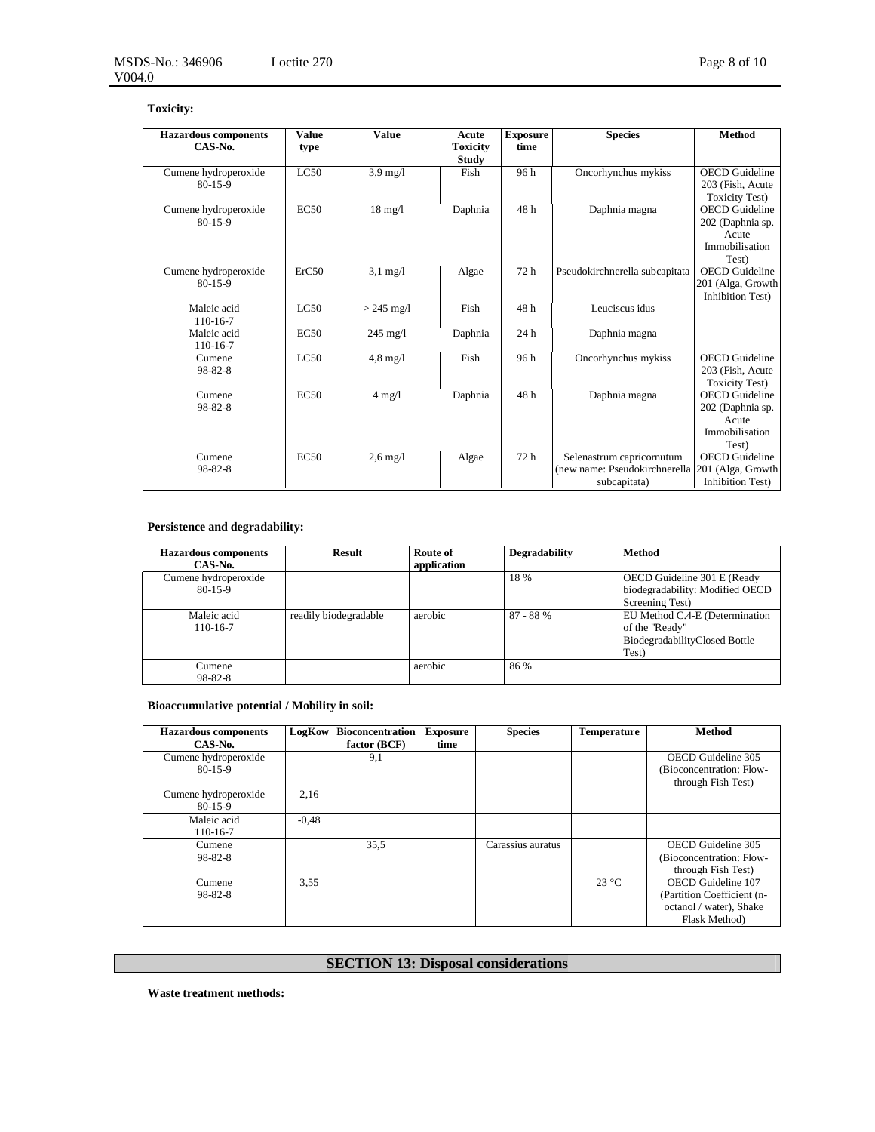| <b>Hazardous</b> components           | <b>Value</b> | <b>Value</b>       | Acute           | <b>Exposure</b> | <b>Species</b>                 | <b>Method</b>             |
|---------------------------------------|--------------|--------------------|-----------------|-----------------|--------------------------------|---------------------------|
| CAS-No.                               | type         |                    | <b>Toxicity</b> | time            |                                |                           |
|                                       |              |                    | <b>Study</b>    |                 |                                |                           |
| Cumene hydroperoxide                  | LC50         | $3.9 \text{ mg}/l$ | Fish            | 96 h            | Oncorhynchus mykiss            | <b>OECD</b> Guideline     |
| $80-15-9$                             |              |                    |                 |                 |                                | 203 (Fish, Acute          |
|                                       |              |                    |                 |                 |                                | <b>Toxicity Test)</b>     |
| Cumene hydroperoxide<br>$80 - 15 - 9$ | EC50         | $18 \text{ mg}/l$  | Daphnia         | 48 h            | Daphnia magna                  | <b>OECD</b> Guideline     |
|                                       |              |                    |                 |                 |                                | 202 (Daphnia sp.<br>Acute |
|                                       |              |                    |                 |                 |                                | Immobilisation            |
|                                       |              |                    |                 |                 |                                | Test)                     |
| Cumene hydroperoxide                  | ErC50        | $3,1 \text{ mg}/1$ | Algae           | 72 h            | Pseudokirchnerella subcapitata | <b>OECD</b> Guideline     |
| $80 - 15 - 9$                         |              |                    |                 |                 |                                | 201 (Alga, Growth         |
|                                       |              |                    |                 |                 |                                | <b>Inhibition Test)</b>   |
| Maleic acid                           | LC50         | $> 245$ mg/l       | Fish            | 48h             | Leuciscus idus                 |                           |
| $110 - 16 - 7$                        |              |                    |                 |                 |                                |                           |
| Maleic acid                           | EC50         | $245 \text{ mg/l}$ | Daphnia         | 24 h            | Daphnia magna                  |                           |
| 110-16-7                              |              |                    |                 |                 |                                |                           |
| Cumene                                | LC50         | $4.8 \text{ mg}/1$ | Fish            | 96h             | Oncorhynchus mykiss            | <b>OECD</b> Guideline     |
| 98-82-8                               |              |                    |                 |                 |                                | 203 (Fish, Acute          |
|                                       |              |                    |                 |                 |                                | <b>Toxicity Test)</b>     |
| Cumene                                | EC50         | $4 \text{ mg}/1$   | Daphnia         | 48h             | Daphnia magna                  | <b>OECD</b> Guideline     |
| $98 - 82 - 8$                         |              |                    |                 |                 |                                | 202 (Daphnia sp.          |
|                                       |              |                    |                 |                 |                                | Acute                     |
|                                       |              |                    |                 |                 |                                | Immobilisation            |
|                                       |              |                    |                 |                 |                                | Test)                     |
| Cumene                                | EC50         | $2.6 \text{ mg}/l$ | Algae           | 72 h            | Selenastrum capricornutum      | <b>OECD</b> Guideline     |
| 98-82-8                               |              |                    |                 |                 | (new name: Pseudokirchnerella  | 201 (Alga, Growth         |
|                                       |              |                    |                 |                 | subcapitata)                   | <b>Inhibition Test)</b>   |

# **Persistence and degradability:**

| <b>Hazardous components</b><br>CAS-No. | <b>Result</b>         | Route of<br>application | Degradability | <b>Method</b>                                                                              |
|----------------------------------------|-----------------------|-------------------------|---------------|--------------------------------------------------------------------------------------------|
| Cumene hydroperoxide<br>$80-15-9$      |                       |                         | 18 %          | OECD Guideline 301 E (Ready<br>biodegradability: Modified OECD<br>Screening Test)          |
| Maleic acid<br>110-16-7                | readily biodegradable | aerobic                 | $87 - 88%$    | EU Method C.4-E (Determination<br>of the "Ready"<br>BiodegradabilityClosed Bottle<br>Test) |
| Cumene<br>$98 - 82 - 8$                |                       | aerobic                 | 86 %          |                                                                                            |

**Bioaccumulative potential / Mobility in soil:** 

| <b>Hazardous</b> components<br>CAS-No. | LogKow  | <b>Bioconcentration</b><br>factor (BCF) | <b>Exposure</b><br>time | <b>Species</b>    | <b>Temperature</b> | Method                                                                                                                   |
|----------------------------------------|---------|-----------------------------------------|-------------------------|-------------------|--------------------|--------------------------------------------------------------------------------------------------------------------------|
| Cumene hydroperoxide<br>$80-15-9$      |         | 9,1                                     |                         |                   |                    | OECD Guideline 305<br>(Bioconcentration: Flow-<br>through Fish Test)                                                     |
| Cumene hydroperoxide<br>$80-15-9$      | 2,16    |                                         |                         |                   |                    |                                                                                                                          |
| Maleic acid<br>110-16-7                | $-0.48$ |                                         |                         |                   |                    |                                                                                                                          |
| Cumene<br>98-82-8<br>Cumene<br>98-82-8 | 3,55    | 35,5                                    |                         | Carassius auratus | $23^{\circ}$ C     | OECD Guideline 305<br>(Bioconcentration: Flow-<br>through Fish Test)<br>OECD Guideline 107<br>(Partition Coefficient (n- |
|                                        |         |                                         |                         |                   |                    | octanol / water), Shake<br>Flask Method)                                                                                 |

# **SECTION 13: Disposal considerations**

**Waste treatment methods:**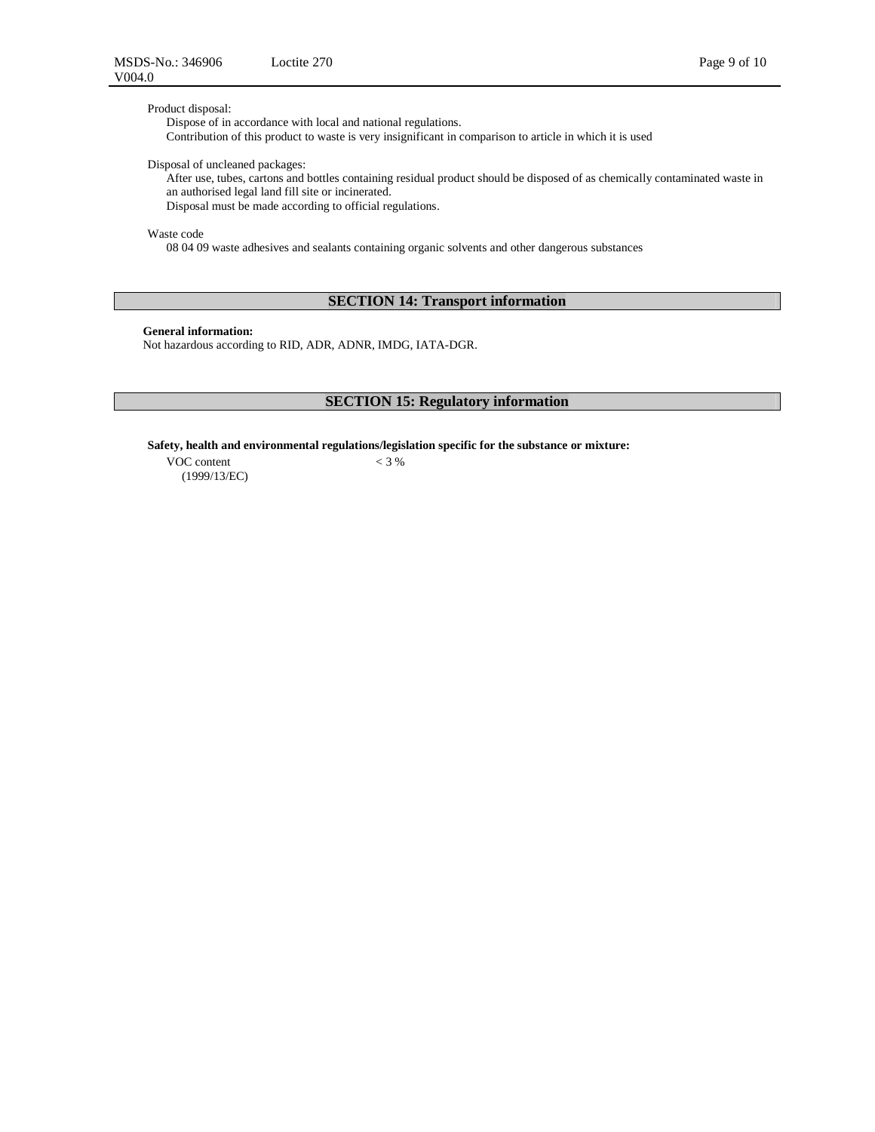Product disposal:

Dispose of in accordance with local and national regulations. Contribution of this product to waste is very insignificant in comparison to article in which it is used

Disposal of uncleaned packages:

After use, tubes, cartons and bottles containing residual product should be disposed of as chemically contaminated waste in an authorised legal land fill site or incinerated.

Disposal must be made according to official regulations.

Waste code

08 04 09 waste adhesives and sealants containing organic solvents and other dangerous substances

# **SECTION 14: Transport information**

**General information:**

Not hazardous according to RID, ADR, ADNR, IMDG, IATA-DGR.

# **SECTION 15: Regulatory information**

**Safety, health and environmental regulations/legislation specific for the substance or mixture:** 

VOC content (1999/13/EC)  $< 3 %$